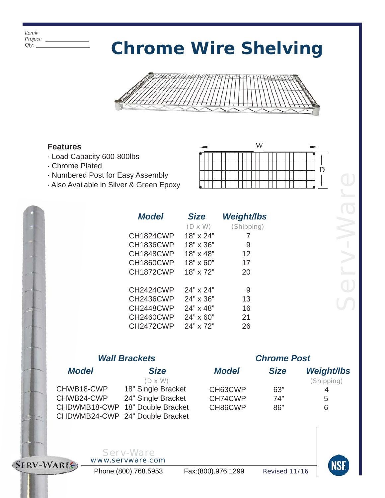*Item# Project: Qty:*

# *Chrome Wire Shelving*



### **Features**

- · Load Capacity 600-800lbs
- · Chrome Plated
- · Numbered Post for Easy Assembly
- · Also Available in Silver & Green Epoxy



| <b>Model</b>     | <b>Size</b>      | Weight/lbs |
|------------------|------------------|------------|
|                  | $(D \times W)$   | (Shipping) |
| CH1824CWP        | 18" x 24"        | 7          |
| <b>CH1836CWP</b> | 18" x 36"        | 9          |
| CH1848CWP        | 18" x 48"        | 12         |
| <b>CH1860CWP</b> | $18" \times 60"$ | 17         |
| CH1872CWP        | 18" x 72"        | 20         |
|                  |                  |            |
| CH2424CWP        | 24" x 24"        | 9          |
| <b>CH2436CWP</b> | 24" x 36"        | 13         |
| CH2448CWP        | 24" x 48"        | 16         |
| <b>CH2460CWP</b> | $24" \times 60"$ | 21         |
| CH2472CWP        | 24" x 72"        | 26         |

## *Wall Brackets*

## *Model Size*

CHWB18-CWP 18" Single Bracket CHWB24-CWP 24" Single Bracket CHDWMB18-CWP 18" Double Bracket CHDWMB24-CWP 24" Double Bracket (D x W)

## *Chrome Post*

| Model   | <b>Size</b> | <b>Weight/lbs</b> |
|---------|-------------|-------------------|
|         |             | (Shipping)        |
| CH63CWP | 63"         |                   |
| CH74CWP | 74"         | 5                 |
| CH86CWP | 86"         | ิค                |
|         |             |                   |



#### *Serv-Ware www.servware.com*

Phone:(800).768.5953 Fax:(800).976.1299 *Revised 11/16*